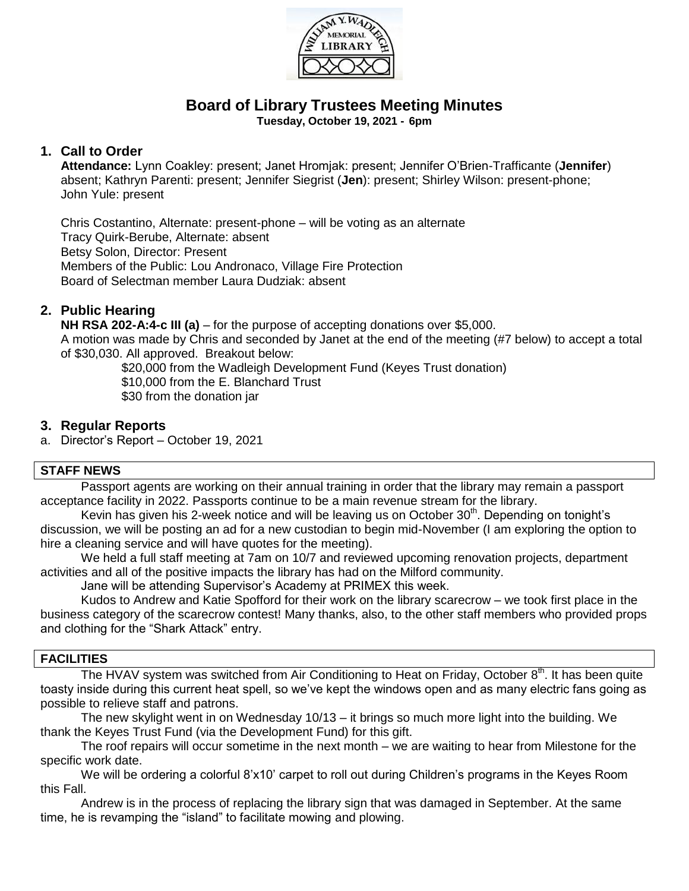

# **Board of Library Trustees Meeting Minutes**

**Tuesday, October 19, 2021 - 6pm**

### **1. Call to Order**

**Attendance:** Lynn Coakley: present; Janet Hromjak: present; Jennifer O'Brien-Trafficante (**Jennifer**) absent; Kathryn Parenti: present; Jennifer Siegrist (**Jen**): present; Shirley Wilson: present-phone; John Yule: present

Chris Costantino, Alternate: present-phone – will be voting as an alternate Tracy Quirk-Berube, Alternate: absent Betsy Solon, Director: Present Members of the Public: Lou Andronaco, Village Fire Protection Board of Selectman member Laura Dudziak: absent

# **2. Public Hearing**

**NH RSA 202-A:4-c III (a)** – for the purpose of accepting donations over \$5,000. A motion was made by Chris and seconded by Janet at the end of the meeting (#7 below) to accept a total of \$30,030. All approved. Breakout below:

\$20,000 from the Wadleigh Development Fund (Keyes Trust donation) \$10,000 from the E. Blanchard Trust \$30 from the donation jar

#### **3. Regular Reports**

a. Director's Report – October 19, 2021

#### **STAFF NEWS**

Passport agents are working on their annual training in order that the library may remain a passport acceptance facility in 2022. Passports continue to be a main revenue stream for the library.

Kevin has given his 2-week notice and will be leaving us on October  $30<sup>th</sup>$ . Depending on tonight's discussion, we will be posting an ad for a new custodian to begin mid-November (I am exploring the option to hire a cleaning service and will have quotes for the meeting).

We held a full staff meeting at 7am on 10/7 and reviewed upcoming renovation projects, department activities and all of the positive impacts the library has had on the Milford community.

Jane will be attending Supervisor's Academy at PRIMEX this week.

Kudos to Andrew and Katie Spofford for their work on the library scarecrow – we took first place in the business category of the scarecrow contest! Many thanks, also, to the other staff members who provided props and clothing for the "Shark Attack" entry.

#### **FACILITIES**

The HVAV system was switched from Air Conditioning to Heat on Friday, October 8<sup>th</sup>. It has been quite toasty inside during this current heat spell, so we've kept the windows open and as many electric fans going as possible to relieve staff and patrons.

The new skylight went in on Wednesday 10/13 – it brings so much more light into the building. We thank the Keyes Trust Fund (via the Development Fund) for this gift.

The roof repairs will occur sometime in the next month – we are waiting to hear from Milestone for the specific work date.

We will be ordering a colorful 8'x10' carpet to roll out during Children's programs in the Keyes Room this Fall.

Andrew is in the process of replacing the library sign that was damaged in September. At the same time, he is revamping the "island" to facilitate mowing and plowing.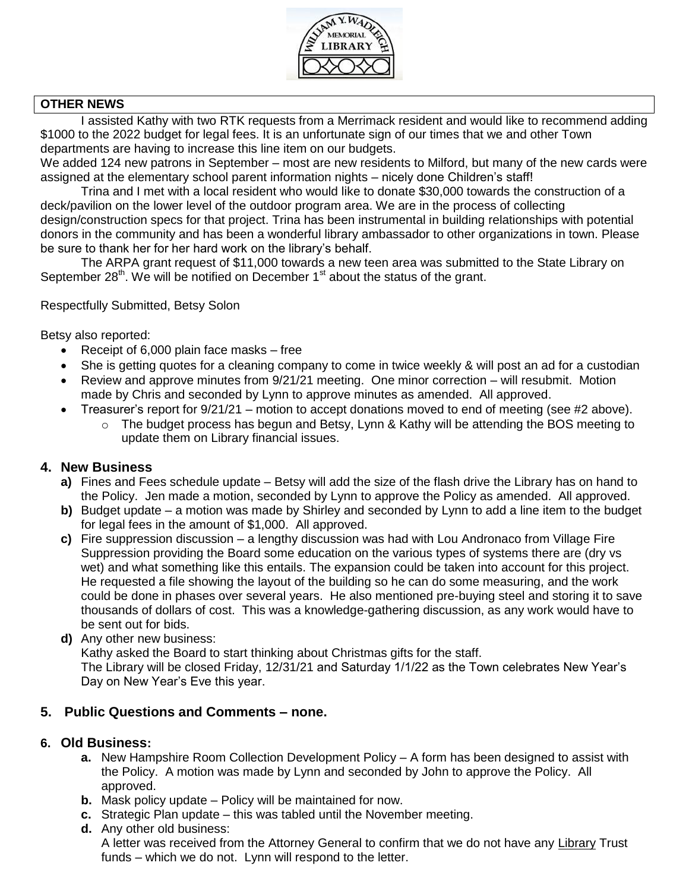

#### **OTHER NEWS**

I assisted Kathy with two RTK requests from a Merrimack resident and would like to recommend adding \$1000 to the 2022 budget for legal fees. It is an unfortunate sign of our times that we and other Town departments are having to increase this line item on our budgets.

We added 124 new patrons in September – most are new residents to Milford, but many of the new cards were assigned at the elementary school parent information nights – nicely done Children's staff!

Trina and I met with a local resident who would like to donate \$30,000 towards the construction of a deck/pavilion on the lower level of the outdoor program area. We are in the process of collecting design/construction specs for that project. Trina has been instrumental in building relationships with potential donors in the community and has been a wonderful library ambassador to other organizations in town. Please be sure to thank her for her hard work on the library's behalf.

The ARPA grant request of \$11,000 towards a new teen area was submitted to the State Library on September 28<sup>th</sup>. We will be notified on December 1<sup>st</sup> about the status of the grant.

#### Respectfully Submitted, Betsy Solon

Betsy also reported:

- Receipt of  $6,000$  plain face masks free
- She is getting quotes for a cleaning company to come in twice weekly & will post an ad for a custodian
- Review and approve minutes from 9/21/21 meeting. One minor correction will resubmit. Motion made by Chris and seconded by Lynn to approve minutes as amended. All approved.
- Treasurer's report for  $9/21/21$  motion to accept donations moved to end of meeting (see #2 above).
	- $\circ$  The budget process has begun and Betsy, Lynn & Kathy will be attending the BOS meeting to update them on Library financial issues.

#### **4. New Business**

- **a)** Fines and Fees schedule update Betsy will add the size of the flash drive the Library has on hand to the Policy. Jen made a motion, seconded by Lynn to approve the Policy as amended. All approved.
- **b)** Budget update a motion was made by Shirley and seconded by Lynn to add a line item to the budget for legal fees in the amount of \$1,000. All approved.
- **c)** Fire suppression discussion a lengthy discussion was had with Lou Andronaco from Village Fire Suppression providing the Board some education on the various types of systems there are (dry vs wet) and what something like this entails. The expansion could be taken into account for this project. He requested a file showing the layout of the building so he can do some measuring, and the work could be done in phases over several years. He also mentioned pre-buying steel and storing it to save thousands of dollars of cost. This was a knowledge-gathering discussion, as any work would have to be sent out for bids.
- **d)** Any other new business:

Kathy asked the Board to start thinking about Christmas gifts for the staff.

The Library will be closed Friday, 12/31/21 and Saturday 1/1/22 as the Town celebrates New Year's Day on New Year's Eve this year.

#### **5. Public Questions and Comments – none.**

#### **6. Old Business:**

- **a.** New Hampshire Room Collection Development Policy A form has been designed to assist with the Policy. A motion was made by Lynn and seconded by John to approve the Policy. All approved.
- **b.** Mask policy update Policy will be maintained for now.
- **c.** Strategic Plan update this was tabled until the November meeting.
- **d.** Any other old business: A letter was received from the Attorney General to confirm that we do not have any Library Trust funds – which we do not. Lynn will respond to the letter.